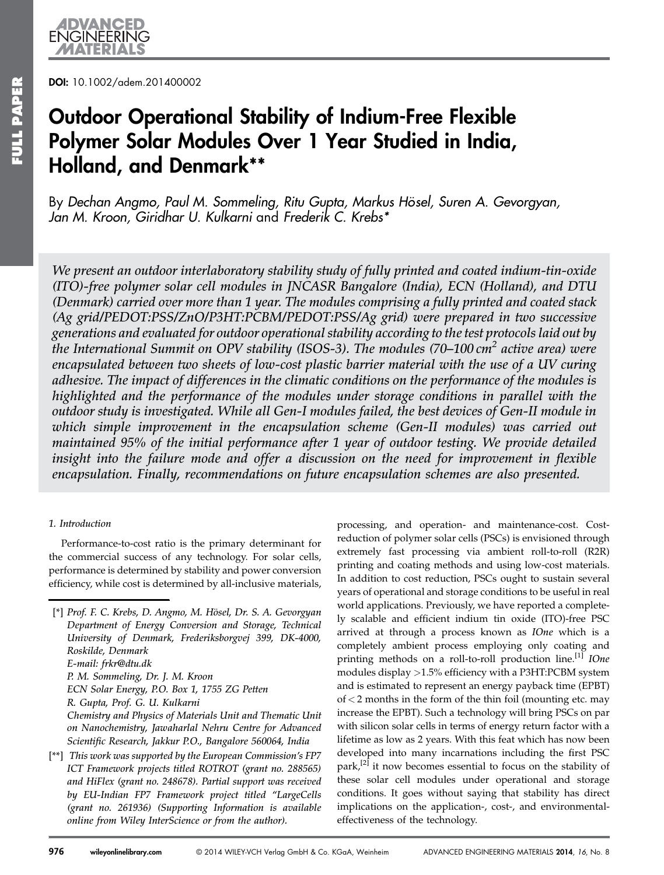DOI: 10.1002/adem.201400002

# Outdoor Operational Stability of Indium-Free Flexible Polymer Solar Modules Over 1 Year Studied in India, Holland, and Denmark\*\*

By Dechan Angmo, Paul M. Sommeling, Ritu Gupta, Markus Hösel, Suren A. Gevorgyan, Jan M. Kroon, Giridhar U. Kulkarni and Frederik C. Krebs\*

We present an outdoor interlaboratory stability study of fully printed and coated indium-tin-oxide (ITO)-free polymer solar cell modules in JNCASR Bangalore (India), ECN (Holland), and DTU (Denmark) carried over more than 1 year. The modules comprising a fully printed and coated stack (Ag grid/PEDOT:PSS/ZnO/P3HT:PCBM/PEDOT:PSS/Ag grid) were prepared in two successive generations and evaluated for outdoor operational stability according to the test protocols laid out by the International Summit on OPV stability (ISOS-3). The modules (70–100 cm<sup>2</sup> active area) were encapsulated between two sheets of low-cost plastic barrier material with the use of a UV curing adhesive. The impact of differences in the climatic conditions on the performance of the modules is highlighted and the performance of the modules under storage conditions in parallel with the outdoor study is investigated. While all Gen-I modules failed, the best devices of Gen-II module in which simple improvement in the encapsulation scheme (Gen-II modules) was carried out maintained 95% of the initial performance after 1 year of outdoor testing. We provide detailed insight into the failure mode and offer a discussion on the need for improvement in flexible encapsulation. Finally, recommendations on future encapsulation schemes are also presented.

## 1. Introduction

Performance-to-cost ratio is the primary determinant for the commercial success of any technology. For solar cells, performance is determined by stability and power conversion efficiency, while cost is determined by all-inclusive materials, processing, and operation- and maintenance-cost. Costreduction of polymer solar cells (PSCs) is envisioned through extremely fast processing via ambient roll-to-roll (R2R) printing and coating methods and using low-cost materials. In addition to cost reduction, PSCs ought to sustain several years of operational and storage conditions to be useful in real world applications. Previously, we have reported a completely scalable and efficient indium tin oxide (ITO)-free PSC arrived at through a process known as IOne which is a completely ambient process employing only coating and printing methods on a roll-to-roll production line.<sup>[1]</sup> IOne modules display >1.5% efficiency with a P3HT:PCBM system and is estimated to represent an energy payback time (EPBT) of < 2 months in the form of the thin foil (mounting etc. may increase the EPBT). Such a technology will bring PSCs on par with silicon solar cells in terms of energy return factor with a lifetime as low as 2 years. With this feat which has now been developed into many incarnations including the first PSC park,<sup>[2]</sup> it now becomes essential to focus on the stability of these solar cell modules under operational and storage conditions. It goes without saying that stability has direct implications on the application-, cost-, and environmentaleffectiveness of the technology.

<sup>[\*]</sup> Prof. F. C. Krebs, D. Angmo, M. Hösel, Dr. S. A. Gevorgyan Department of Energy Conversion and Storage, Technical University of Denmark, Frederiksborgvej 399, DK-4000, Roskilde, Denmark E-mail: frkr@dtu.dk P. M. Sommeling, Dr. J. M. Kroon ECN Solar Energy, P.O. Box 1, 1755 ZG Petten R. Gupta, Prof. G. U. Kulkarni Chemistry and Physics of Materials Unit and Thematic Unit on Nanochemistry, Jawaharlal Nehru Centre for Advanced Scientific Research, Jakkur P.O., Bangalore 560064, India

<sup>[\*\*]</sup> This work was supported by the European Commission's FP7 ICT Framework projects titled ROTROT (grant no. 288565) and HiFlex (grant no. 248678). Partial support was received by EU-Indian FP7 Framework project titled "LargeCells (grant no. 261936) (Supporting Information is available online from Wiley InterScience or from the author).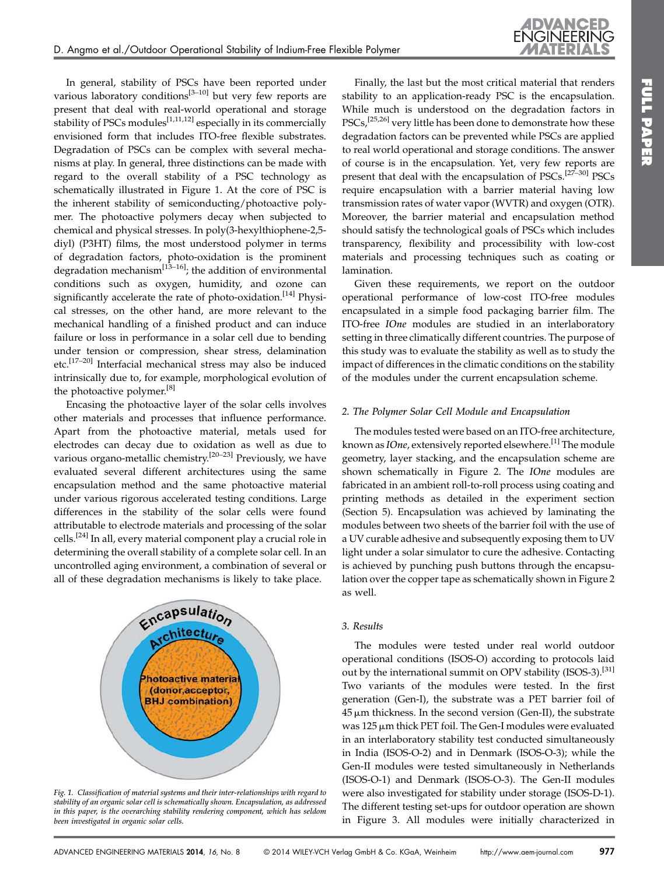In general, stability of PSCs have been reported under various laboratory conditions<sup>[3–10]</sup> but very few reports are present that deal with real-world operational and storage stability of PSCs modules<sup>[1,11,12]</sup> especially in its commercially envisioned form that includes ITO-free flexible substrates. Degradation of PSCs can be complex with several mechanisms at play. In general, three distinctions can be made with regard to the overall stability of a PSC technology as schematically illustrated in Figure 1. At the core of PSC is the inherent stability of semiconducting/photoactive polymer. The photoactive polymers decay when subjected to chemical and physical stresses. In poly(3-hexylthiophene-2,5 diyl) (P3HT) films, the most understood polymer in terms of degradation factors, photo-oxidation is the prominent degradation mechanism<sup>[13-16]</sup>; the addition of environmental conditions such as oxygen, humidity, and ozone can significantly accelerate the rate of photo-oxidation.<sup>[14]</sup> Physical stresses, on the other hand, are more relevant to the mechanical handling of a finished product and can induce failure or loss in performance in a solar cell due to bending under tension or compression, shear stress, delamination etc.[17–20] Interfacial mechanical stress may also be induced intrinsically due to, for example, morphological evolution of the photoactive polymer.<sup>[8]</sup>

Encasing the photoactive layer of the solar cells involves other materials and processes that influence performance. Apart from the photoactive material, metals used for electrodes can decay due to oxidation as well as due to various organo-metallic chemistry.[20–23] Previously, we have evaluated several different architectures using the same encapsulation method and the same photoactive material under various rigorous accelerated testing conditions. Large differences in the stability of the solar cells were found attributable to electrode materials and processing of the solar cells.[24] In all, every material component play a crucial role in determining the overall stability of a complete solar cell. In an uncontrolled aging environment, a combination of several or all of these degradation mechanisms is likely to take place.



Fig. 1. Classification of material systems and their inter-relationships with regard to stability of an organic solar cell is schematically shown. Encapsulation, as addressed in this paper, is the overarching stability rendering component, which has seldom been investigated in organic solar cells.

Finally, the last but the most critical material that renders stability to an application-ready PSC is the encapsulation. While much is understood on the degradation factors in PSCs,<sup>[25,26]</sup> very little has been done to demonstrate how these degradation factors can be prevented while PSCs are applied to real world operational and storage conditions. The answer of course is in the encapsulation. Yet, very few reports are present that deal with the encapsulation of PSCs.<sup>[27-30]</sup> PSCs require encapsulation with a barrier material having low transmission rates of water vapor (WVTR) and oxygen (OTR). Moreover, the barrier material and encapsulation method should satisfy the technological goals of PSCs which includes transparency, flexibility and processibility with low-cost materials and processing techniques such as coating or lamination.

Given these requirements, we report on the outdoor operational performance of low-cost ITO-free modules encapsulated in a simple food packaging barrier film. The ITO-free IOne modules are studied in an interlaboratory setting in three climatically different countries. The purpose of this study was to evaluate the stability as well as to study the impact of differences in the climatic conditions on the stability of the modules under the current encapsulation scheme.

## 2. The Polymer Solar Cell Module and Encapsulation

The modules tested were based on an ITO-free architecture, known as IOne, extensively reported elsewhere.<sup>[1]</sup> The module geometry, layer stacking, and the encapsulation scheme are shown schematically in Figure 2. The *IOne* modules are fabricated in an ambient roll-to-roll process using coating and printing methods as detailed in the experiment section (Section 5). Encapsulation was achieved by laminating the modules between two sheets of the barrier foil with the use of a UV curable adhesive and subsequently exposing them to UV light under a solar simulator to cure the adhesive. Contacting is achieved by punching push buttons through the encapsulation over the copper tape as schematically shown in Figure 2 as well.

#### 3. Results

The modules were tested under real world outdoor operational conditions (ISOS-O) according to protocols laid out by the international summit on OPV stability (ISOS-3).<sup>[31]</sup> Two variants of the modules were tested. In the first generation (Gen-I), the substrate was a PET barrier foil of  $45 \mu m$  thickness. In the second version (Gen-II), the substrate  $w$ as 125  $\mu$ m thick PET foil. The Gen-I modules were evaluated in an interlaboratory stability test conducted simultaneously in India (ISOS-O-2) and in Denmark (ISOS-O-3); while the Gen-II modules were tested simultaneously in Netherlands (ISOS-O-1) and Denmark (ISOS-O-3). The Gen-II modules were also investigated for stability under storage (ISOS-D-1). The different testing set-ups for outdoor operation are shown in Figure 3. All modules were initially characterized in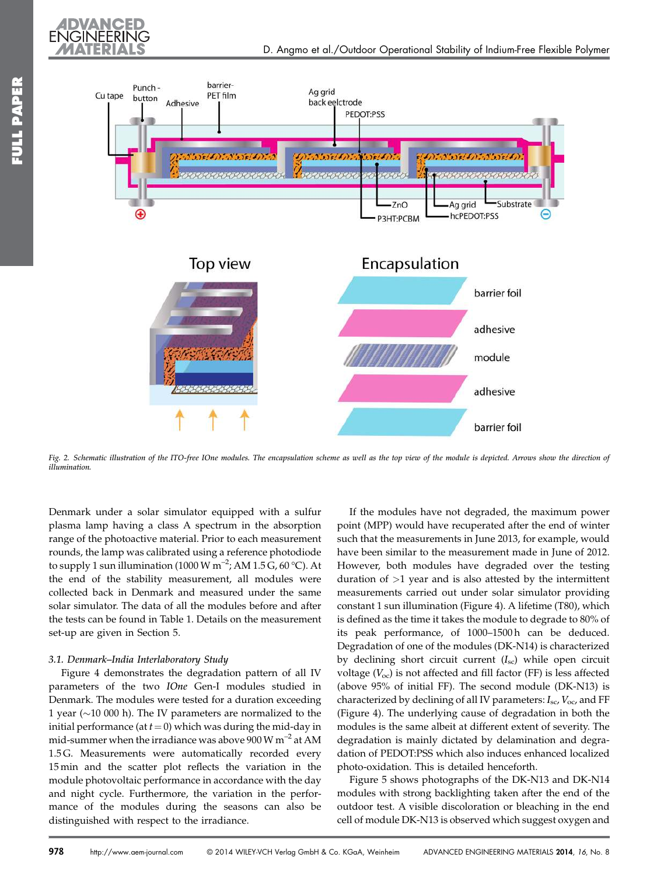



Fig. 2. Schematic illustration of the ITO-free IOne modules. The encapsulation scheme as well as the top view of the module is depicted. Arrows show the direction of illumination.

Denmark under a solar simulator equipped with a sulfur plasma lamp having a class A spectrum in the absorption range of the photoactive material. Prior to each measurement rounds, the lamp was calibrated using a reference photodiode to supply 1 sun illumination (1000 W m<sup>-2</sup>; AM 1.5  $G$ , 60 °C). At the end of the stability measurement, all modules were collected back in Denmark and measured under the same solar simulator. The data of all the modules before and after the tests can be found in Table 1. Details on the measurement set-up are given in Section 5.

## 3.1. Denmark–India Interlaboratory Study

Figure 4 demonstrates the degradation pattern of all IV parameters of the two IOne Gen-I modules studied in Denmark. The modules were tested for a duration exceeding 1 year ( $\sim$ 10 000 h). The IV parameters are normalized to the initial performance (at  $t = 0$ ) which was during the mid-day in mid-summer when the irradiance was above  $900 \text{ W m}^{-2}$  at AM 1.5 G. Measurements were automatically recorded every 15 min and the scatter plot reflects the variation in the module photovoltaic performance in accordance with the day and night cycle. Furthermore, the variation in the performance of the modules during the seasons can also be distinguished with respect to the irradiance.

If the modules have not degraded, the maximum power point (MPP) would have recuperated after the end of winter such that the measurements in June 2013, for example, would have been similar to the measurement made in June of 2012. However, both modules have degraded over the testing duration of  $>1$  year and is also attested by the intermittent measurements carried out under solar simulator providing constant 1 sun illumination (Figure 4). A lifetime (T80), which is defined as the time it takes the module to degrade to 80% of its peak performance, of 1000-1500h can be deduced. Degradation of one of the modules (DK-N14) is characterized by declining short circuit current  $(I_{\rm sc})$  while open circuit voltage  $(V_{oc})$  is not affected and fill factor (FF) is less affected (above 95% of initial FF). The second module (DK-N13) is characterized by declining of all IV parameters:  $I_{\text{sc}}$ ,  $V_{\text{oc}}$ , and FF (Figure 4). The underlying cause of degradation in both the modules is the same albeit at different extent of severity. The degradation is mainly dictated by delamination and degradation of PEDOT:PSS which also induces enhanced localized photo-oxidation. This is detailed henceforth.

Figure 5 shows photographs of the DK-N13 and DK-N14 modules with strong backlighting taken after the end of the outdoor test. A visible discoloration or bleaching in the end cell of module DK-N13 is observed which suggest oxygen and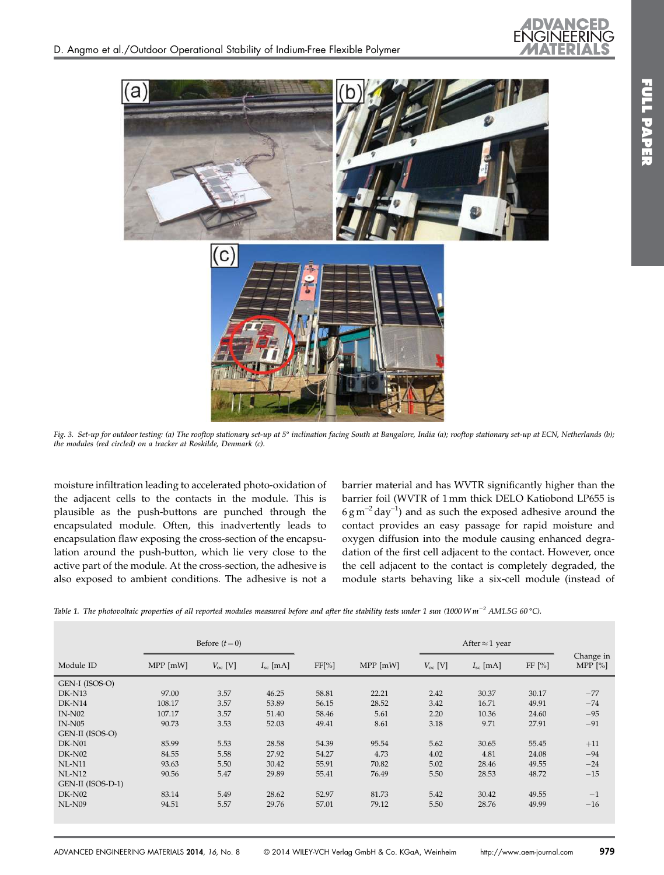

Fig. 3. Set-up for outdoor testing: (a) The rooftop stationary set-up at 5° inclination facing South at Bangalore, India (a); rooftop stationary set-up at ECN, Netherlands (b); the modules (red circled) on a tracker at Roskilde, Denmark (c).

moisture infiltration leading to accelerated photo-oxidation of the adjacent cells to the contacts in the module. This is plausible as the push-buttons are punched through the encapsulated module. Often, this inadvertently leads to encapsulation flaw exposing the cross-section of the encapsulation around the push-button, which lie very close to the active part of the module. At the cross-section, the adhesive is also exposed to ambient conditions. The adhesive is not a barrier material and has WVTR significantly higher than the barrier foil (WVTR of 1 mm thick DELO Katiobond LP655 is  $6 \text{ g m}^{-2} \text{ day}^{-1}$ ) and as such the exposed adhesive around the contact provides an easy passage for rapid moisture and oxygen diffusion into the module causing enhanced degradation of the first cell adjacent to the contact. However, once the cell adjacent to the contact is completely degraded, the module starts behaving like a six-cell module (instead of

|  |  |  |  |  |  |  |  |  |  |  |  |  |  |  | Table 1. The photovoltaic properties of all reported modules measured before and after the stability tests under 1 sun (1000 W $m^{-2}$ AM1.5G 60 °C). |
|--|--|--|--|--|--|--|--|--|--|--|--|--|--|--|--------------------------------------------------------------------------------------------------------------------------------------------------------|
|--|--|--|--|--|--|--|--|--|--|--|--|--|--|--|--------------------------------------------------------------------------------------------------------------------------------------------------------|

|                   |          | Before $(t=0)$   |                   |          |          |                  |               |        |                         |
|-------------------|----------|------------------|-------------------|----------|----------|------------------|---------------|--------|-------------------------|
| Module ID         | MPP [mW] | $V_{\rm oc}$ [V] | $I_{\rm sc}$ [mA] | $FF[\%]$ | MPP [mW] | $V_{\rm oc}$ [V] | $I_{sc}$ [mA] | FF [%] | Change in<br>MPP $[\%]$ |
| GEN-I (ISOS-O)    |          |                  |                   |          |          |                  |               |        |                         |
| $DK-N13$          | 97.00    | 3.57             | 46.25             | 58.81    | 22.21    | 2.42             | 30.37         | 30.17  | $-77$                   |
| $DK-N14$          | 108.17   | 3.57             | 53.89             | 56.15    | 28.52    | 3.42             | 16.71         | 49.91  | $-74$                   |
| $IN-N02$          | 107.17   | 3.57             | 51.40             | 58.46    | 5.61     | 2.20             | 10.36         | 24.60  | $-95$                   |
| $IN-N05$          | 90.73    | 3.53             | 52.03             | 49.41    | 8.61     | 3.18             | 9.71          | 27.91  | $-91$                   |
| GEN-II (ISOS-O)   |          |                  |                   |          |          |                  |               |        |                         |
| DK-N01            | 85.99    | 5.53             | 28.58             | 54.39    | 95.54    | 5.62             | 30.65         | 55.45  | $+11$                   |
| $DK-N02$          | 84.55    | 5.58             | 27.92             | 54.27    | 4.73     | 4.02             | 4.81          | 24.08  | $-94$                   |
| <b>NL-N11</b>     | 93.63    | 5.50             | 30.42             | 55.91    | 70.82    | 5.02             | 28.46         | 49.55  | $-24$                   |
| $NL-N12$          | 90.56    | 5.47             | 29.89             | 55.41    | 76.49    | 5.50             | 28.53         | 48.72  | $-15$                   |
| GEN-II (ISOS-D-1) |          |                  |                   |          |          |                  |               |        |                         |
| $DK-N02$          | 83.14    | 5.49             | 28.62             | 52.97    | 81.73    | 5.42             | 30.42         | 49.55  | $^{-1}$                 |
| <b>NL-N09</b>     | 94.51    | 5.57             | 29.76             | 57.01    | 79.12    | 5.50             | 28.76         | 49.99  | $-16$                   |
|                   |          |                  |                   |          |          |                  |               |        |                         |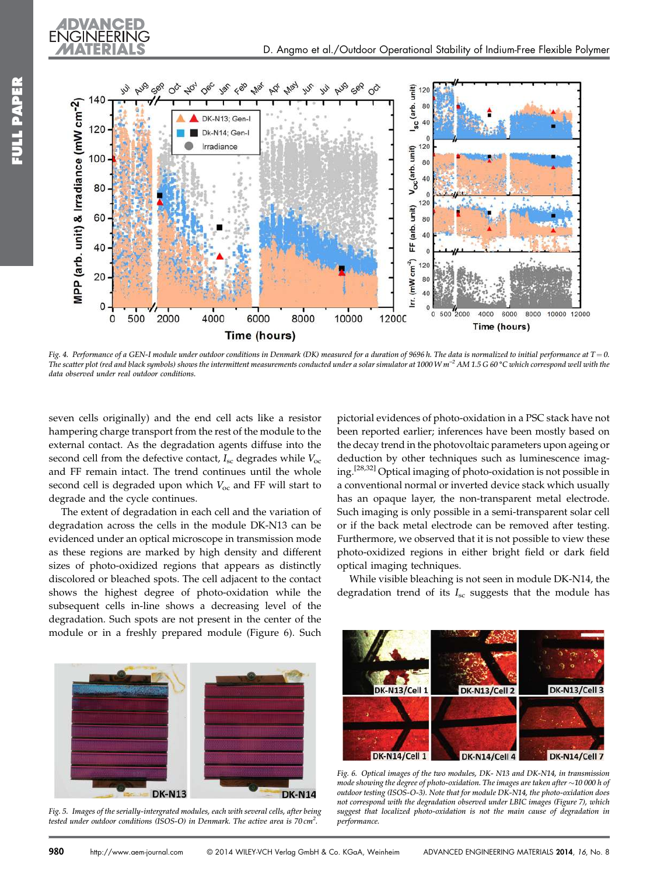



Fig. 4. Performance of a GEN-I module under outdoor conditions in Denmark (DK) measured for a duration of 9696 h. The data is normalized to initial performance at T = 0. The scatter plot (red and black symbols) shows the intermittent measurements conducted under a solar simulator at 1000 W m<sup>-2</sup> AM 1.5 G 60 °C which correspond well with the data observed under real outdoor conditions.

seven cells originally) and the end cell acts like a resistor hampering charge transport from the rest of the module to the external contact. As the degradation agents diffuse into the second cell from the defective contact,  $I_{\rm sc}$  degrades while  $V_{\rm oc}$ and FF remain intact. The trend continues until the whole second cell is degraded upon which  $V_{\text{oc}}$  and FF will start to degrade and the cycle continues.

The extent of degradation in each cell and the variation of degradation across the cells in the module DK-N13 can be evidenced under an optical microscope in transmission mode as these regions are marked by high density and different sizes of photo-oxidized regions that appears as distinctly discolored or bleached spots. The cell adjacent to the contact shows the highest degree of photo-oxidation while the subsequent cells in-line shows a decreasing level of the degradation. Such spots are not present in the center of the module or in a freshly prepared module (Figure 6). Such

pictorial evidences of photo-oxidation in a PSC stack have not been reported earlier; inferences have been mostly based on the decay trend in the photovoltaic parameters upon ageing or deduction by other techniques such as luminescence imaging.[28,32] Optical imaging of photo-oxidation is not possible in a conventional normal or inverted device stack which usually has an opaque layer, the non-transparent metal electrode. Such imaging is only possible in a semi-transparent solar cell or if the back metal electrode can be removed after testing. Furthermore, we observed that it is not possible to view these photo-oxidized regions in either bright field or dark field optical imaging techniques.

While visible bleaching is not seen in module DK-N14, the degradation trend of its  $I_{\rm sc}$  suggests that the module has



Fig. 5. Images of the serially-intergrated modules, each with several cells, after being tested under outdoor conditions (ISOS-O) in Denmark. The active area is 70 cm<sup>2</sup>.



Fig. 6. Optical images of the two modules, DK- N13 and DK-N14, in transmission mode showing the degree of photo-oxidation. The images are taken after  $\sim$  10 000 h of outdoor testing (ISOS-O-3). Note that for module DK-N14, the photo-oxidation does not correspond with the degradation observed under LBIC images (Figure 7), which suggest that localized photo-oxidation is not the main cause of degradation in performance.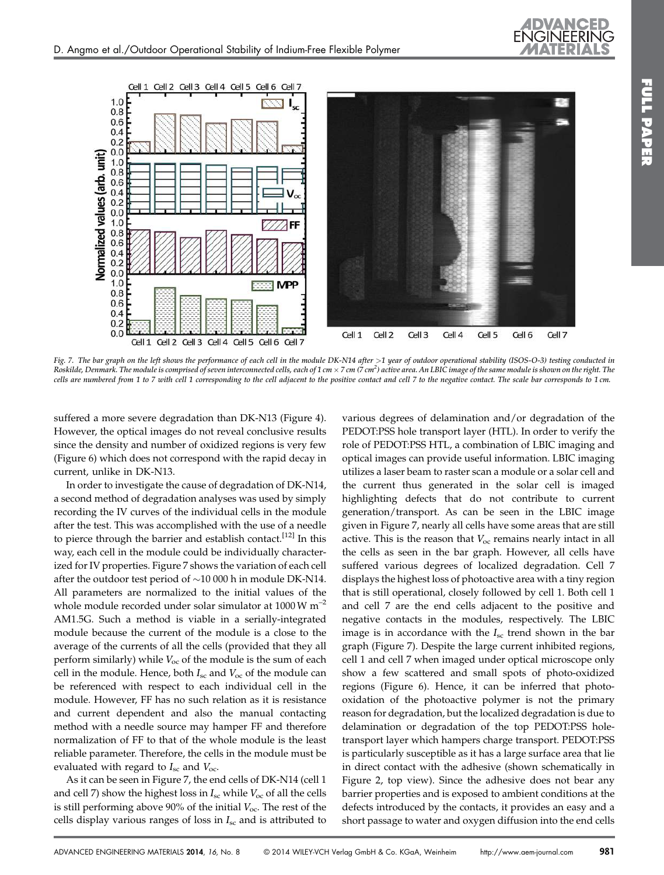

Fig. 7. The bar graph on the left shows the performance of each cell in the module DK-N14 after >1 year of outdoor operational stability (ISOS-O-3) testing conducted in Roskilde, Denmark. The module is comprised of seven interconnected cells, each of 1 cm  $\times$  7 cm (7 cm $^2$ ) active area. An LBIC image of the same module is shown on the right. The cells are numbered from 1 to 7 with cell 1 corresponding to the cell adjacent to the positive contact and cell 7 to the negative contact. The scale bar corresponds to 1 cm.

suffered a more severe degradation than DK-N13 (Figure 4). However, the optical images do not reveal conclusive results since the density and number of oxidized regions is very few (Figure 6) which does not correspond with the rapid decay in current, unlike in DK-N13.

In order to investigate the cause of degradation of DK-N14, a second method of degradation analyses was used by simply recording the IV curves of the individual cells in the module after the test. This was accomplished with the use of a needle to pierce through the barrier and establish contact.<sup>[12]</sup> In this way, each cell in the module could be individually characterized for IV properties. Figure 7 shows the variation of each cell after the outdoor test period of  $\sim$  10 000 h in module DK-N14. All parameters are normalized to the initial values of the whole module recorded under solar simulator at  $1000 \,\mathrm{W m}^{-2}$ AM1.5G. Such a method is viable in a serially-integrated module because the current of the module is a close to the average of the currents of all the cells (provided that they all perform similarly) while  $V_{\text{oc}}$  of the module is the sum of each cell in the module. Hence, both  $I_{\rm sc}$  and  $V_{\rm oc}$  of the module can be referenced with respect to each individual cell in the module. However, FF has no such relation as it is resistance and current dependent and also the manual contacting method with a needle source may hamper FF and therefore normalization of FF to that of the whole module is the least reliable parameter. Therefore, the cells in the module must be evaluated with regard to  $I_{\rm sc}$  and  $V_{\rm oc}$ .

As it can be seen in Figure 7, the end cells of DK-N14 (cell 1 and cell 7) show the highest loss in  $I_{\rm sc}$  while  $V_{\rm oc}$  of all the cells is still performing above 90% of the initial  $V_{\text{oc}}$ . The rest of the cells display various ranges of loss in  $I_{\rm sc}$  and is attributed to

various degrees of delamination and/or degradation of the PEDOT:PSS hole transport layer (HTL). In order to verify the role of PEDOT:PSS HTL, a combination of LBIC imaging and optical images can provide useful information. LBIC imaging utilizes a laser beam to raster scan a module or a solar cell and the current thus generated in the solar cell is imaged highlighting defects that do not contribute to current generation/transport. As can be seen in the LBIC image given in Figure 7, nearly all cells have some areas that are still active. This is the reason that  $V_{\text{oc}}$  remains nearly intact in all the cells as seen in the bar graph. However, all cells have suffered various degrees of localized degradation. Cell 7 displays the highest loss of photoactive area with a tiny region that is still operational, closely followed by cell 1. Both cell 1 and cell 7 are the end cells adjacent to the positive and negative contacts in the modules, respectively. The LBIC image is in accordance with the  $I_{\rm sc}$  trend shown in the bar graph (Figure 7). Despite the large current inhibited regions, cell 1 and cell 7 when imaged under optical microscope only show a few scattered and small spots of photo-oxidized regions (Figure 6). Hence, it can be inferred that photooxidation of the photoactive polymer is not the primary reason for degradation, but the localized degradation is due to delamination or degradation of the top PEDOT:PSS holetransport layer which hampers charge transport. PEDOT:PSS is particularly susceptible as it has a large surface area that lie in direct contact with the adhesive (shown schematically in Figure 2, top view). Since the adhesive does not bear any barrier properties and is exposed to ambient conditions at the defects introduced by the contacts, it provides an easy and a short passage to water and oxygen diffusion into the end cells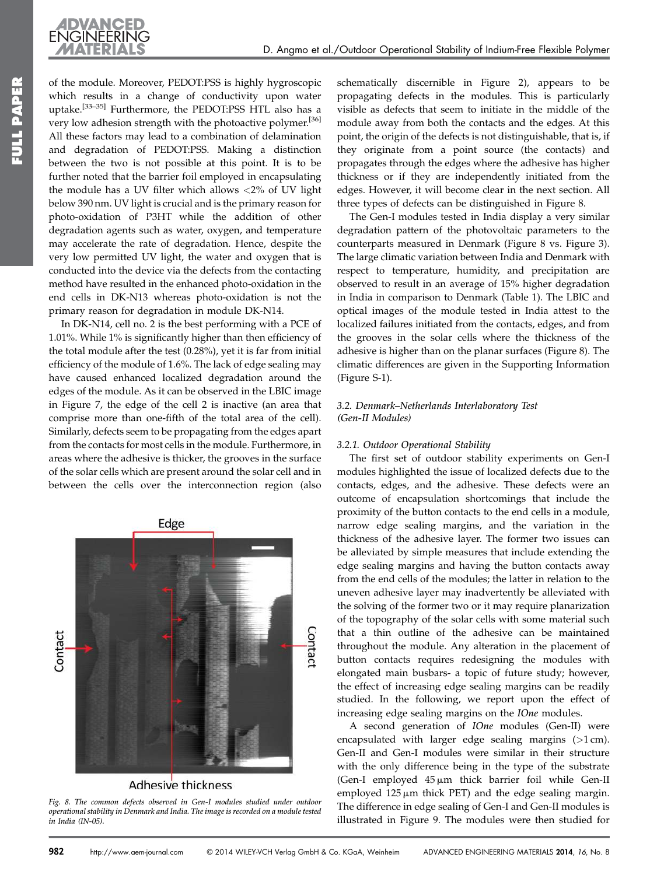

of the module. Moreover, PEDOT:PSS is highly hygroscopic which results in a change of conductivity upon water uptake.[33–35] Furthermore, the PEDOT:PSS HTL also has a very low adhesion strength with the photoactive polymer.<sup>[36]</sup> All these factors may lead to a combination of delamination and degradation of PEDOT:PSS. Making a distinction between the two is not possible at this point. It is to be further noted that the barrier foil employed in encapsulating the module has a UV filter which allows <2% of UV light below 390 nm. UV light is crucial and is the primary reason for photo-oxidation of P3HT while the addition of other degradation agents such as water, oxygen, and temperature may accelerate the rate of degradation. Hence, despite the very low permitted UV light, the water and oxygen that is conducted into the device via the defects from the contacting method have resulted in the enhanced photo-oxidation in the end cells in DK-N13 whereas photo-oxidation is not the primary reason for degradation in module DK-N14.

In DK-N14, cell no. 2 is the best performing with a PCE of 1.01%. While 1% is significantly higher than then efficiency of the total module after the test (0.28%), yet it is far from initial efficiency of the module of 1.6%. The lack of edge sealing may have caused enhanced localized degradation around the edges of the module. As it can be observed in the LBIC image in Figure 7, the edge of the cell 2 is inactive (an area that comprise more than one-fifth of the total area of the cell). Similarly, defects seem to be propagating from the edges apart from the contacts for most cells in the module. Furthermore, in areas where the adhesive is thicker, the grooves in the surface of the solar cells which are present around the solar cell and in between the cells over the interconnection region (also

Edge Contact Contact

# Adhesive thickness

Fig. 8. The common defects observed in Gen-I modules studied under outdoor operational stability in Denmark and India. The image is recorded on a module tested in India (IN-05).

schematically discernible in Figure 2), appears to be propagating defects in the modules. This is particularly visible as defects that seem to initiate in the middle of the module away from both the contacts and the edges. At this point, the origin of the defects is not distinguishable, that is, if they originate from a point source (the contacts) and propagates through the edges where the adhesive has higher thickness or if they are independently initiated from the edges. However, it will become clear in the next section. All three types of defects can be distinguished in Figure 8.

The Gen-I modules tested in India display a very similar degradation pattern of the photovoltaic parameters to the counterparts measured in Denmark (Figure 8 vs. Figure 3). The large climatic variation between India and Denmark with respect to temperature, humidity, and precipitation are observed to result in an average of 15% higher degradation in India in comparison to Denmark (Table 1). The LBIC and optical images of the module tested in India attest to the localized failures initiated from the contacts, edges, and from the grooves in the solar cells where the thickness of the adhesive is higher than on the planar surfaces (Figure 8). The climatic differences are given in the Supporting Information (Figure S-1).

## 3.2. Denmark–Netherlands Interlaboratory Test (Gen-II Modules)

#### 3.2.1. Outdoor Operational Stability

The first set of outdoor stability experiments on Gen-I modules highlighted the issue of localized defects due to the contacts, edges, and the adhesive. These defects were an outcome of encapsulation shortcomings that include the proximity of the button contacts to the end cells in a module, narrow edge sealing margins, and the variation in the thickness of the adhesive layer. The former two issues can be alleviated by simple measures that include extending the edge sealing margins and having the button contacts away from the end cells of the modules; the latter in relation to the uneven adhesive layer may inadvertently be alleviated with the solving of the former two or it may require planarization of the topography of the solar cells with some material such that a thin outline of the adhesive can be maintained throughout the module. Any alteration in the placement of button contacts requires redesigning the modules with elongated main busbars- a topic of future study; however, the effect of increasing edge sealing margins can be readily studied. In the following, we report upon the effect of increasing edge sealing margins on the IOne modules.

A second generation of IOne modules (Gen-II) were encapsulated with larger edge sealing margins (>1 cm). Gen-II and Gen-I modules were similar in their structure with the only difference being in the type of the substrate (Gen-I employed  $45 \mu m$  thick barrier foil while Gen-II employed  $125 \mu m$  thick PET) and the edge sealing margin. The difference in edge sealing of Gen-I and Gen-II modules is illustrated in Figure 9. The modules were then studied for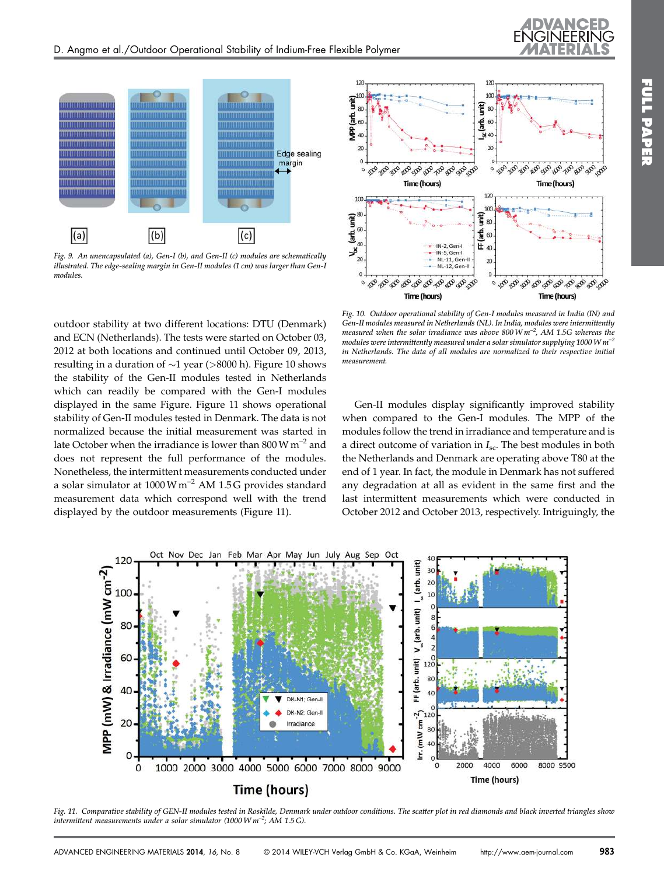

Fig. 9. An unencapsulated (a), Gen-I (b), and Gen-II (c) modules are schematically illustrated. The edge-sealing margin in Gen-II modules (1 cm) was larger than Gen-I modules.

outdoor stability at two different locations: DTU (Denmark) and ECN (Netherlands). The tests were started on October 03, 2012 at both locations and continued until October 09, 2013, resulting in a duration of  $\sim$ 1 year (>8000 h). Figure 10 shows the stability of the Gen-II modules tested in Netherlands which can readily be compared with the Gen-I modules displayed in the same Figure. Figure 11 shows operational stability of Gen-II modules tested in Denmark. The data is not normalized because the initial measurement was started in late October when the irradiance is lower than  $800 \,\mathrm{W\,m}^{-2}$  and does not represent the full performance of the modules. Nonetheless, the intermittent measurements conducted under a solar simulator at  $1000 \,\mathrm{W\,m}^{-2}$  AM 1.5 G provides standard measurement data which correspond well with the trend displayed by the outdoor measurements (Figure 11).



Fig. 10. Outdoor operational stability of Gen-I modules measured in India (IN) and Gen-II modules measured in Netherlands (NL). In India, modules were intermittently measured when the solar irradiance was above  $800 W m^{-2}$ , AM 1.5G whereas the modules were intermittently measured under a solar simulator supplying  $1000 \, W$   $\!m^{-2}$ in Netherlands. The data of all modules are normalized to their respective initial measurement.

Gen-II modules display significantly improved stability when compared to the Gen-I modules. The MPP of the modules follow the trend in irradiance and temperature and is a direct outcome of variation in  $I_{\rm sc}$ . The best modules in both the Netherlands and Denmark are operating above T80 at the end of 1 year. In fact, the module in Denmark has not suffered any degradation at all as evident in the same first and the last intermittent measurements which were conducted in October 2012 and October 2013, respectively. Intriguingly, the



Fig. 11. Comparative stability of GEN-II modules tested in Roskilde, Denmark under outdoor conditions. The scatter plot in red diamonds and black inverted triangles show intermittent measurements under a solar simulator  $(1000 W m^{-2})$ ; AM 1.5 G).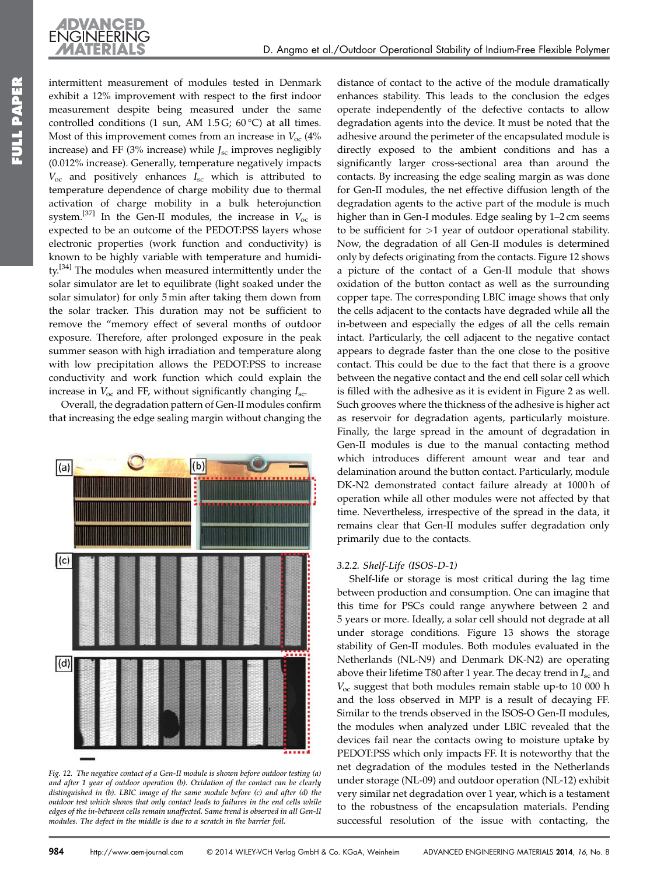

intermittent measurement of modules tested in Denmark exhibit a 12% improvement with respect to the first indoor measurement despite being measured under the same controlled conditions (1 sun, AM 1.5 G;  $60^{\circ}$ C) at all times. Most of this improvement comes from an increase in  $V_{\rm oc}$  (4% increase) and FF (3% increase) while  $J_{\rm sc}$  improves negligibly (0.012% increase). Generally, temperature negatively impacts  $V_{\rm oc}$  and positively enhances  $I_{\rm sc}$  which is attributed to temperature dependence of charge mobility due to thermal activation of charge mobility in a bulk heterojunction system.<sup>[37]</sup> In the Gen-II modules, the increase in  $V_{\text{oc}}$  is expected to be an outcome of the PEDOT:PSS layers whose electronic properties (work function and conductivity) is known to be highly variable with temperature and humidity.<sup>[34]</sup> The modules when measured intermittently under the solar simulator are let to equilibrate (light soaked under the solar simulator) for only 5 min after taking them down from the solar tracker. This duration may not be sufficient to remove the "memory effect of several months of outdoor exposure. Therefore, after prolonged exposure in the peak summer season with high irradiation and temperature along with low precipitation allows the PEDOT:PSS to increase conductivity and work function which could explain the increase in  $V_{\text{oc}}$  and FF, without significantly changing  $I_{\text{sc}}$ .

Overall, the degradation pattern of Gen-II modules confirm that increasing the edge sealing margin without changing the



Fig. 12. The negative contact of a Gen-II module is shown before outdoor testing (a) and after 1 year of outdoor operation (b). Oxidation of the contact can be clearly distinguished in (b). LBIC image of the same module before (c) and after (d) the outdoor test which shows that only contact leads to failures in the end cells while edges of the in-between cells remain unaffected. Same trend is observed in all Gen-II modules. The defect in the middle is due to a scratch in the barrier foil.

distance of contact to the active of the module dramatically enhances stability. This leads to the conclusion the edges operate independently of the defective contacts to allow degradation agents into the device. It must be noted that the adhesive around the perimeter of the encapsulated module is directly exposed to the ambient conditions and has a significantly larger cross-sectional area than around the contacts. By increasing the edge sealing margin as was done for Gen-II modules, the net effective diffusion length of the degradation agents to the active part of the module is much higher than in Gen-I modules. Edge sealing by 1-2 cm seems to be sufficient for  $>1$  year of outdoor operational stability. Now, the degradation of all Gen-II modules is determined only by defects originating from the contacts. Figure 12 shows a picture of the contact of a Gen-II module that shows oxidation of the button contact as well as the surrounding copper tape. The corresponding LBIC image shows that only the cells adjacent to the contacts have degraded while all the in-between and especially the edges of all the cells remain intact. Particularly, the cell adjacent to the negative contact appears to degrade faster than the one close to the positive contact. This could be due to the fact that there is a groove between the negative contact and the end cell solar cell which is filled with the adhesive as it is evident in Figure 2 as well. Such grooves where the thickness of the adhesive is higher act as reservoir for degradation agents, particularly moisture. Finally, the large spread in the amount of degradation in Gen-II modules is due to the manual contacting method which introduces different amount wear and tear and delamination around the button contact. Particularly, module DK-N2 demonstrated contact failure already at 1000h of operation while all other modules were not affected by that time. Nevertheless, irrespective of the spread in the data, it remains clear that Gen-II modules suffer degradation only primarily due to the contacts.

#### 3.2.2. Shelf-Life (ISOS-D-1)

Shelf-life or storage is most critical during the lag time between production and consumption. One can imagine that this time for PSCs could range anywhere between 2 and 5 years or more. Ideally, a solar cell should not degrade at all under storage conditions. Figure 13 shows the storage stability of Gen-II modules. Both modules evaluated in the Netherlands (NL-N9) and Denmark DK-N2) are operating above their lifetime T80 after 1 year. The decay trend in  $I_{\rm sc}$  and  $V_{\rm oc}$  suggest that both modules remain stable up-to 10 000 h and the loss observed in MPP is a result of decaying FF. Similar to the trends observed in the ISOS-O Gen-II modules, the modules when analyzed under LBIC revealed that the devices fail near the contacts owing to moisture uptake by PEDOT:PSS which only impacts FF. It is noteworthy that the net degradation of the modules tested in the Netherlands under storage (NL-09) and outdoor operation (NL-12) exhibit very similar net degradation over 1 year, which is a testament to the robustness of the encapsulation materials. Pending successful resolution of the issue with contacting, the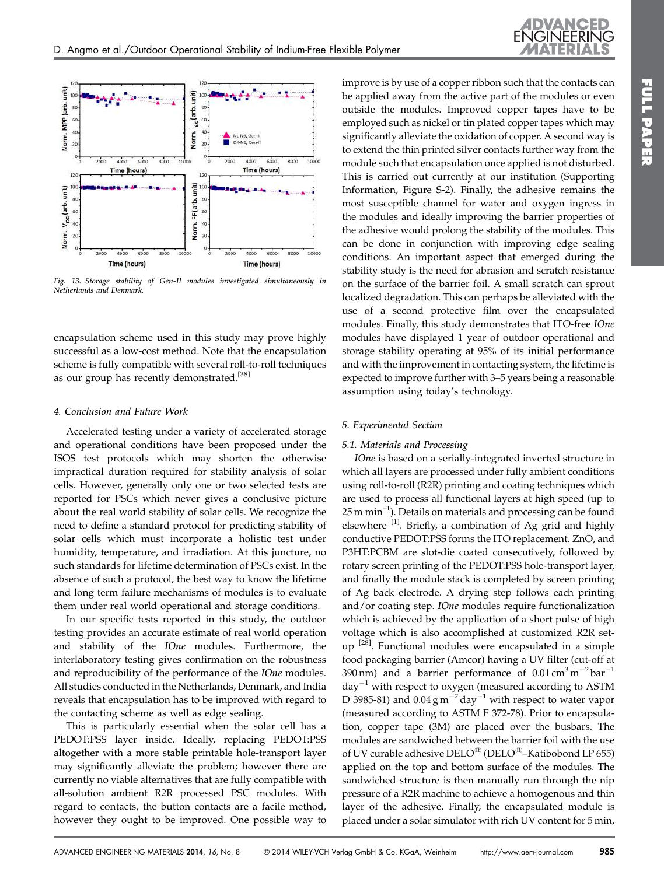



Fig. 13. Storage stability of Gen-II modules investigated simultaneously in Netherlands and Denmark.

encapsulation scheme used in this study may prove highly successful as a low-cost method. Note that the encapsulation scheme is fully compatible with several roll-to-roll techniques as our group has recently demonstrated.<sup>[38]</sup>

#### 4. Conclusion and Future Work

Accelerated testing under a variety of accelerated storage and operational conditions have been proposed under the ISOS test protocols which may shorten the otherwise impractical duration required for stability analysis of solar cells. However, generally only one or two selected tests are reported for PSCs which never gives a conclusive picture about the real world stability of solar cells. We recognize the need to define a standard protocol for predicting stability of solar cells which must incorporate a holistic test under humidity, temperature, and irradiation. At this juncture, no such standards for lifetime determination of PSCs exist. In the absence of such a protocol, the best way to know the lifetime and long term failure mechanisms of modules is to evaluate them under real world operational and storage conditions.

In our specific tests reported in this study, the outdoor testing provides an accurate estimate of real world operation and stability of the IOne modules. Furthermore, the interlaboratory testing gives confirmation on the robustness and reproducibility of the performance of the IOne modules. All studies conducted in the Netherlands, Denmark, and India reveals that encapsulation has to be improved with regard to the contacting scheme as well as edge sealing.

This is particularly essential when the solar cell has a PEDOT:PSS layer inside. Ideally, replacing PEDOT:PSS altogether with a more stable printable hole-transport layer may significantly alleviate the problem; however there are currently no viable alternatives that are fully compatible with all-solution ambient R2R processed PSC modules. With regard to contacts, the button contacts are a facile method, however they ought to be improved. One possible way to

improve is by use of a copper ribbon such that the contacts can be applied away from the active part of the modules or even outside the modules. Improved copper tapes have to be employed such as nickel or tin plated copper tapes which may significantly alleviate the oxidation of copper. A second way is to extend the thin printed silver contacts further way from the module such that encapsulation once applied is not disturbed. This is carried out currently at our institution (Supporting Information, Figure S-2). Finally, the adhesive remains the most susceptible channel for water and oxygen ingress in the modules and ideally improving the barrier properties of the adhesive would prolong the stability of the modules. This can be done in conjunction with improving edge sealing conditions. An important aspect that emerged during the stability study is the need for abrasion and scratch resistance on the surface of the barrier foil. A small scratch can sprout localized degradation. This can perhaps be alleviated with the use of a second protective film over the encapsulated modules. Finally, this study demonstrates that ITO-free IOne modules have displayed 1 year of outdoor operational and storage stability operating at 95% of its initial performance and with the improvement in contacting system, the lifetime is expected to improve further with 3–5 years being a reasonable assumption using today's technology.

## 5. Experimental Section

## 5.1. Materials and Processing

IOne is based on a serially-integrated inverted structure in which all layers are processed under fully ambient conditions using roll-to-roll (R2R) printing and coating techniques which are used to process all functional layers at high speed (up to 25 m min–<sup>1</sup> ). Details on materials and processing can be found elsewhere <sup>[1]</sup>. Briefly, a combination of Ag grid and highly conductive PEDOT:PSS forms the ITO replacement. ZnO, and P3HT:PCBM are slot-die coated consecutively, followed by rotary screen printing of the PEDOT:PSS hole-transport layer, and finally the module stack is completed by screen printing of Ag back electrode. A drying step follows each printing and/or coating step. IOne modules require functionalization which is achieved by the application of a short pulse of high voltage which is also accomplished at customized R2R setup <sup>[28]</sup>. Functional modules were encapsulated in a simple food packaging barrier (Amcor) having a UV filter (cut-off at 390 nm) and a barrier performance of  $0.01 \text{ cm}^3 \text{ m}^{-2} \text{bar}^{-1}$  $day^{-1}$  with respect to oxygen (measured according to ASTM D 3985-81) and  $0.04 \text{ g m}^{-2}$ day<sup>-1</sup> with respect to water vapor (measured according to ASTM F 372-78). Prior to encapsulation, copper tape (3M) are placed over the busbars. The modules are sandwiched between the barrier foil with the use of UV curable adhesive  $DELO^{\textcircled{R}}$  (DELO<sup> $\textcircled{R}$ </sup>–Katibobond LP 655) applied on the top and bottom surface of the modules. The sandwiched structure is then manually run through the nip pressure of a R2R machine to achieve a homogenous and thin layer of the adhesive. Finally, the encapsulated module is placed under a solar simulator with rich UV content for 5 min,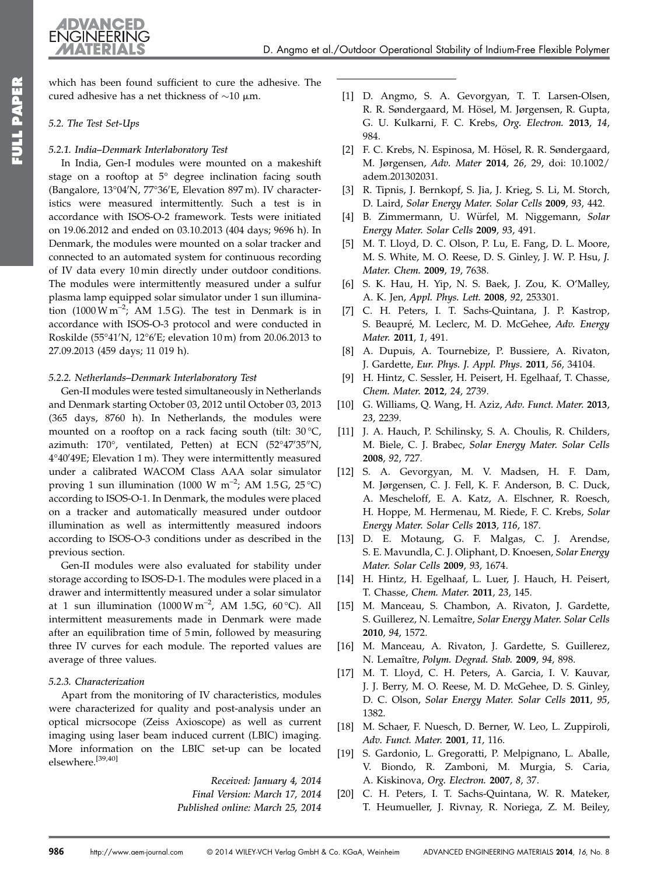which has been found sufficient to cure the adhesive. The cured adhesive has a net thickness of  $\sim$ 10  $\mu$ m.

# 5.2. The Test Set-Ups

**IDVANCED ENGINEERING** 

# 5.2.1. India–Denmark Interlaboratory Test

In India, Gen-I modules were mounted on a makeshift stage on a rooftop at 5° degree inclination facing south (Bangalore, 13°04'N, 77°36'E, Elevation 897 m). IV characteristics were measured intermittently. Such a test is in accordance with ISOS-O-2 framework. Tests were initiated on 19.06.2012 and ended on 03.10.2013 (404 days; 9696 h). In Denmark, the modules were mounted on a solar tracker and connected to an automated system for continuous recording of IV data every 10 min directly under outdoor conditions. The modules were intermittently measured under a sulfur plasma lamp equipped solar simulator under 1 sun illumination  $(1000 \,\mathrm{W\,m}^{-2})$ . AM 1.5G). The test in Denmark is in accordance with ISOS-O-3 protocol and were conducted in Roskilde (55°41′N, 12°6′E; elevation 10 m) from 20.06.2013 to 27.09.2013 (459 days; 11 019 h).

## 5.2.2. Netherlands–Denmark Interlaboratory Test

Gen-II modules were tested simultaneously in Netherlands and Denmark starting October 03, 2012 until October 03, 2013 (365 days, 8760 h). In Netherlands, the modules were mounted on a rooftop on a rack facing south (tilt: 30 °C, azimuth:  $170^{\circ}$ , ventilated, Petten) at ECN (52 $^{\circ}47'35''N$ , 4°40'49E; Elevation 1 m). They were intermittently measured under a calibrated WACOM Class AAA solar simulator proving 1 sun illumination (1000 W m<sup>-2</sup>; AM 1.5G, 25 °C) according to ISOS-O-1. In Denmark, the modules were placed on a tracker and automatically measured under outdoor illumination as well as intermittently measured indoors according to ISOS-O-3 conditions under as described in the previous section.

Gen-II modules were also evaluated for stability under storage according to ISOS-D-1. The modules were placed in a drawer and intermittently measured under a solar simulator at 1 sun illumination  $(1000 \,\mathrm{W\,m}^{-2})$ , AM 1.5G, 60 °C). All intermittent measurements made in Denmark were made after an equilibration time of 5 min, followed by measuring three IV curves for each module. The reported values are average of three values.

## 5.2.3. Characterization

Apart from the monitoring of IV characteristics, modules were characterized for quality and post-analysis under an optical micrsocope (Zeiss Axioscope) as well as current imaging using laser beam induced current (LBIC) imaging. More information on the LBIC set-up can be located elsewhere.[39,40]

> Received: January 4, 2014 Final Version: March 17, 2014 Published online: March 25, 2014

- [1] D. Angmo, S. A. Gevorgyan, T. T. Larsen-Olsen, R. R. Søndergaard, M. Hösel, M. Jørgensen, R. Gupta, G. U. Kulkarni, F. C. Krebs, Org. Electron. 2013, 14, 984.
- [2] F. C. Krebs, N. Espinosa, M. Hösel, R. R. Søndergaard, M. Jørgensen, Adv. Mater 2014, 26, 29, doi: 10.1002/ adem.201302031.
- [3] R. Tipnis, J. Bernkopf, S. Jia, J. Krieg, S. Li, M. Storch, D. Laird, Solar Energy Mater. Solar Cells 2009, 93, 442.
- [4] B. Zimmermann, U. Würfel, M. Niggemann, Solar Energy Mater. Solar Cells 2009, 93, 491.
- [5] M. T. Lloyd, D. C. Olson, P. Lu, E. Fang, D. L. Moore, M. S. White, M. O. Reese, D. S. Ginley, J. W. P. Hsu, J. Mater. Chem. 2009, 19, 7638.
- [6] S. K. Hau, H. Yip, N. S. Baek, J. Zou, K. O'Malley, A. K. Jen, Appl. Phys. Lett. 2008, 92, 253301.
- [7] C. H. Peters, I. T. Sachs-Quintana, J. P. Kastrop, S. Beaupré, M. Leclerc, M. D. McGehee, Adv. Energy Mater. 2011, 1, 491.
- [8] A. Dupuis, A. Tournebize, P. Bussiere, A. Rivaton, J. Gardette, Eur. Phys. J. Appl. Phys. 2011, 56, 34104.
- [9] H. Hintz, C. Sessler, H. Peisert, H. Egelhaaf, T. Chasse, Chem. Mater. 2012, 24, 2739.
- [10] G. Williams, Q. Wang, H. Aziz, Adv. Funct. Mater. 2013, 23, 2239.
- [11] J. A. Hauch, P. Schilinsky, S. A. Choulis, R. Childers, M. Biele, C. J. Brabec, Solar Energy Mater. Solar Cells 2008, 92, 727.
- [12] S. A. Gevorgyan, M. V. Madsen, H. F. Dam, M. Jørgensen, C. J. Fell, K. F. Anderson, B. C. Duck, A. Mescheloff, E. A. Katz, A. Elschner, R. Roesch, H. Hoppe, M. Hermenau, M. Riede, F. C. Krebs, Solar Energy Mater. Solar Cells 2013, 116, 187.
- [13] D. E. Motaung, G. F. Malgas, C. J. Arendse, S. E. Mavundla, C. J. Oliphant, D. Knoesen, Solar Energy Mater. Solar Cells 2009, 93, 1674.
- [14] H. Hintz, H. Egelhaaf, L. Luer, J. Hauch, H. Peisert, T. Chasse, Chem. Mater. 2011, 23, 145.
- [15] M. Manceau, S. Chambon, A. Rivaton, J. Gardette, S. Guillerez, N. Lemaître, Solar Energy Mater. Solar Cells 2010, 94, 1572.
- [16] M. Manceau, A. Rivaton, J. Gardette, S. Guillerez, N. Lemaître, Polym. Degrad. Stab. 2009, 94, 898.
- [17] M. T. Lloyd, C. H. Peters, A. Garcia, I. V. Kauvar, J. J. Berry, M. O. Reese, M. D. McGehee, D. S. Ginley, D. C. Olson, Solar Energy Mater. Solar Cells 2011, 95, 1382.
- [18] M. Schaer, F. Nuesch, D. Berner, W. Leo, L. Zuppiroli, Adv. Funct. Mater. 2001, 11, 116.
- [19] S. Gardonio, L. Gregoratti, P. Melpignano, L. Aballe, V. Biondo, R. Zamboni, M. Murgia, S. Caria, A. Kiskinova, Org. Electron. 2007, 8, 37.
- [20] C. H. Peters, I. T. Sachs-Quintana, W. R. Mateker, T. Heumueller, J. Rivnay, R. Noriega, Z. M. Beiley,